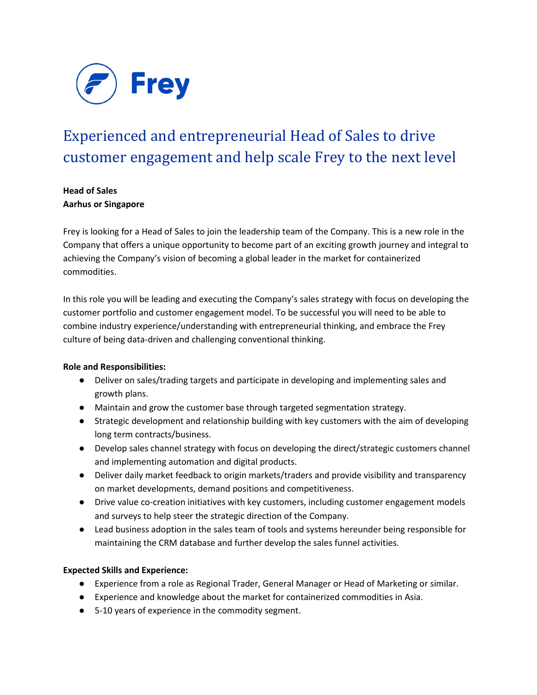

# Experienced and entrepreneurial Head of Sales to drive customer engagement and help scale Frey to the next level

## **Head of Sales Aarhus or Singapore**

Frey is looking for a Head of Sales to join the leadership team of the Company. This is a new role in the Company that offers a unique opportunity to become part of an exciting growth journey and integral to achieving the Company's vision of becoming a global leader in the market for containerized commodities.

In this role you will be leading and executing the Company's sales strategy with focus on developing the customer portfolio and customer engagement model. To be successful you will need to be able to combine industry experience/understanding with entrepreneurial thinking, and embrace the Frey culture of being data-driven and challenging conventional thinking.

### **Role and Responsibilities:**

- Deliver on sales/trading targets and participate in developing and implementing sales and growth plans.
- Maintain and grow the customer base through targeted segmentation strategy.
- Strategic development and relationship building with key customers with the aim of developing long term contracts/business.
- Develop sales channel strategy with focus on developing the direct/strategic customers channel and implementing automation and digital products.
- Deliver daily market feedback to origin markets/traders and provide visibility and transparency on market developments, demand positions and competitiveness.
- Drive value co-creation initiatives with key customers, including customer engagement models and surveys to help steer the strategic direction of the Company.
- Lead business adoption in the sales team of tools and systems hereunder being responsible for maintaining the CRM database and further develop the sales funnel activities.

#### **Expected Skills and Experience:**

- Experience from a role as Regional Trader, General Manager or Head of Marketing or similar.
- Experience and knowledge about the market for containerized commodities in Asia.
- 5-10 years of experience in the commodity segment.